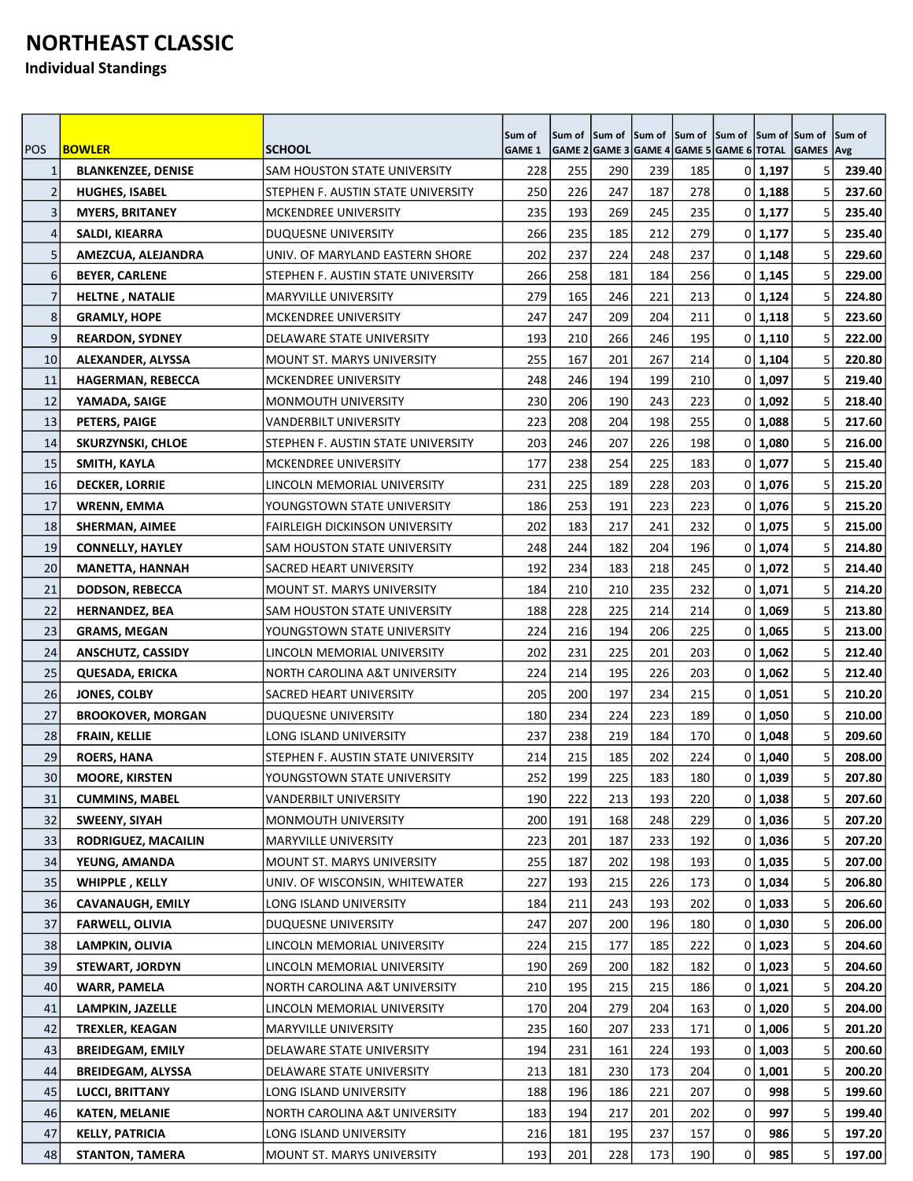## **NORTHEAST CLASSIC**

**Individual Standings**

| <b>POS</b>     | <b>BOWLER</b>             | <b>SCHOOL</b>                      | Sum of<br><b>GAME 1</b> | Sum of | Sum of Sum of<br>GAME 2 GAME 3 GAME 4 GAME 5 GAME 6 TOTAL GAMES Avg |     | Sum of Sum of |                |         | Sum of Sum of | Sum of |
|----------------|---------------------------|------------------------------------|-------------------------|--------|---------------------------------------------------------------------|-----|---------------|----------------|---------|---------------|--------|
| 1              | <b>BLANKENZEE, DENISE</b> | SAM HOUSTON STATE UNIVERSITY       | 228                     | 255    | 290                                                                 | 239 | 185           |                | 0 1,197 | 5             | 239.40 |
| $\overline{2}$ | <b>HUGHES, ISABEL</b>     | STEPHEN F. AUSTIN STATE UNIVERSITY | 250                     | 226    | 247                                                                 | 187 | 278           | $\overline{0}$ | 1,188   | 5             | 237.60 |
| 3              | <b>MYERS, BRITANEY</b>    | <b>MCKENDREE UNIVERSITY</b>        | 235                     | 193    | 269                                                                 | 245 | 235           |                | 0 1,177 | 5             | 235.40 |
| 4              | SALDI, KIEARRA            | <b>DUQUESNE UNIVERSITY</b>         | 266                     | 235    | 185                                                                 | 212 | 279           |                | 0 1,177 | 5             | 235.40 |
| 5              | AMEZCUA, ALEJANDRA        | UNIV. OF MARYLAND EASTERN SHORE    | 202                     | 237    | 224                                                                 | 248 | 237           |                | 0 1,148 | 5             | 229.60 |
| 6              | <b>BEYER, CARLENE</b>     | STEPHEN F. AUSTIN STATE UNIVERSITY | 266                     | 258    | 181                                                                 | 184 | 256           | 01             | 1,145   |               | 229.00 |
| $\overline{7}$ | <b>HELTNE, NATALIE</b>    | <b>MARYVILLE UNIVERSITY</b>        | 279                     | 165    | 246                                                                 | 221 | 213           |                | 0 1,124 | 5             | 224.80 |
| 8              | <b>GRAMLY, HOPE</b>       | <b>MCKENDREE UNIVERSITY</b>        | 247                     | 247    | 209                                                                 | 204 | 211           |                | 0 1,118 | 5             | 223.60 |
| 9              | <b>REARDON, SYDNEY</b>    | DELAWARE STATE UNIVERSITY          | 193                     | 210    | 266                                                                 | 246 | 195           |                | 0 1,110 |               | 222.00 |
| 10             | ALEXANDER, ALYSSA         | <b>MOUNT ST. MARYS UNIVERSITY</b>  | 255                     | 167    | 201                                                                 | 267 | 214           |                | 0 1,104 | 5             | 220.80 |
| 11             | <b>HAGERMAN, REBECCA</b>  | MCKENDREE UNIVERSITY               | 248                     | 246    | 194                                                                 | 199 | 210           |                | 0 1,097 | 5             | 219.40 |
| 12             | YAMADA, SAIGE             | <b>MONMOUTH UNIVERSITY</b>         | 230                     | 206    | 190                                                                 | 243 | 223           | 01             | 1,092   |               | 218.40 |
| 13             | PETERS, PAIGE             | VANDERBILT UNIVERSITY              | 223                     | 208    | 204                                                                 | 198 | 255           | $\Omega$       | 1,088   | 5             | 217.60 |
| 14             | SKURZYNSKI, CHLOE         | STEPHEN F. AUSTIN STATE UNIVERSITY | 203                     | 246    | 207                                                                 | 226 | 198           |                | 0 1,080 | 5             | 216.00 |
| 15             | SMITH, KAYLA              | MCKENDREE UNIVERSITY               | 177                     | 238    | 254                                                                 | 225 | 183           | 01             | 1,077   |               | 215.40 |
| 16             | <b>DECKER, LORRIE</b>     | LINCOLN MEMORIAL UNIVERSITY        | 231                     | 225    | 189                                                                 | 228 | 203           | 01             | 1,076   | 5             | 215.20 |
| 17             | <b>WRENN, EMMA</b>        | YOUNGSTOWN STATE UNIVERSITY        | 186                     | 253    | 191                                                                 | 223 | 223           |                | 0 1,076 | 5             | 215.20 |
| 18             | SHERMAN, AIMEE            | FAIRLEIGH DICKINSON UNIVERSITY     | 202                     | 183    | 217                                                                 | 241 | 232           | 0              | 1,075   |               | 215.00 |
| 19             | <b>CONNELLY, HAYLEY</b>   | SAM HOUSTON STATE UNIVERSITY       | 248                     | 244    | 182                                                                 | 204 | 196           |                | 0 1,074 | 5             | 214.80 |
| 20             | <b>MANETTA, HANNAH</b>    | SACRED HEART UNIVERSITY            | 192                     | 234    | 183                                                                 | 218 | 245           |                | 0 1,072 | 5             | 214.40 |
| 21             | <b>DODSON, REBECCA</b>    | <b>MOUNT ST. MARYS UNIVERSITY</b>  | 184                     | 210    | 210                                                                 | 235 | 232           | 01             | 1,071   |               | 214.20 |
| 22             | <b>HERNANDEZ, BEA</b>     | SAM HOUSTON STATE UNIVERSITY       | 188                     | 228    | 225                                                                 | 214 | 214           |                | 0 1,069 | 5             | 213.80 |
| 23             | <b>GRAMS, MEGAN</b>       | YOUNGSTOWN STATE UNIVERSITY        | 224                     | 216    | 194                                                                 | 206 | 225           |                | 0 1,065 | 5             | 213.00 |
| 24             | <b>ANSCHUTZ, CASSIDY</b>  | LINCOLN MEMORIAL UNIVERSITY        | 202                     | 231    | 225                                                                 | 201 | 203           | 0              | 1,062   |               | 212.40 |
| 25             | <b>QUESADA, ERICKA</b>    | NORTH CAROLINA A&T UNIVERSITY      | 224                     | 214    | 195                                                                 | 226 | 203           |                | 0 1,062 | 5             | 212.40 |
| 26             | <b>JONES, COLBY</b>       | SACRED HEART UNIVERSITY            | 205                     | 200    | 197                                                                 | 234 | 215           |                | 0 1,051 | 5             | 210.20 |
| 27             | <b>BROOKOVER, MORGAN</b>  | DUQUESNE UNIVERSITY                | 180                     | 234    | 224                                                                 | 223 | 189           | 0              | 1,050   |               | 210.00 |
| 28             | <b>FRAIN, KELLIE</b>      | <b>LONG ISLAND UNIVERSITY</b>      | 237                     | 238    | 219                                                                 | 184 | 170           |                | 0 1,048 | 5             | 209.60 |
| 29             | <b>ROERS, HANA</b>        | STEPHEN F. AUSTIN STATE UNIVERSITY | 214                     | 215    | 185                                                                 | 202 | 224           |                | 0 1,040 | 5             | 208.00 |
| 30             | <b>MOORE, KIRSTEN</b>     | YOUNGSTOWN STATE UNIVERSITY        | 252                     | 199    | 225                                                                 | 183 | 180           |                | 0 1,039 | 5             | 207.80 |
| 31             | <b>CUMMINS, MABEL</b>     | <b>VANDERBILT UNIVERSITY</b>       | 190                     | 222    | 213                                                                 | 193 | 220           |                | 0 1,038 | 5             | 207.60 |
| 32             | <b>SWEENY, SIYAH</b>      | MONMOUTH UNIVERSITY                | 200                     | 191    | 168                                                                 | 248 | 229           |                | 0 1,036 | 5             | 207.20 |
| 33             | RODRIGUEZ, MACAILIN       | MARYVILLE UNIVERSITY               | 223                     | 201    | 187                                                                 | 233 | 192           |                | 0 1,036 | 5             | 207.20 |
| 34             | YEUNG, AMANDA             | MOUNT ST. MARYS UNIVERSITY         | 255                     | 187    | 202                                                                 | 198 | 193           | 01             | 1,035   | 5             | 207.00 |
| 35             | <b>WHIPPLE, KELLY</b>     | UNIV. OF WISCONSIN, WHITEWATER     | 227                     | 193    | 215                                                                 | 226 | 173           |                | 0 1,034 | 5             | 206.80 |
| 36             | <b>CAVANAUGH, EMILY</b>   | LONG ISLAND UNIVERSITY             | 184                     | 211    | 243                                                                 | 193 | 202           |                | 0 1,033 | 5             | 206.60 |
| 37             | <b>FARWELL, OLIVIA</b>    | DUQUESNE UNIVERSITY                | 247                     | 207    | 200                                                                 | 196 | 180           | 0              | 1,030   | 5             | 206.00 |
| 38             | LAMPKIN, OLIVIA           | LINCOLN MEMORIAL UNIVERSITY        | 224                     | 215    | 177                                                                 | 185 | 222           |                | 0 1,023 | 5             | 204.60 |
| 39             | <b>STEWART, JORDYN</b>    | LINCOLN MEMORIAL UNIVERSITY        | 190                     | 269    | 200                                                                 | 182 | 182           | 0              | 1,023   | 5             | 204.60 |
| 40             | <b>WARR, PAMELA</b>       | NORTH CAROLINA A&T UNIVERSITY      | 210                     | 195    | 215                                                                 | 215 | 186           | 0              | 1,021   | 5             | 204.20 |
| 41             | LAMPKIN, JAZELLE          | LINCOLN MEMORIAL UNIVERSITY        | 170                     | 204    | 279                                                                 | 204 | 163           |                | 0 1,020 | 5             | 204.00 |
| 42             | <b>TREXLER, KEAGAN</b>    | MARYVILLE UNIVERSITY               | 235                     | 160    | 207                                                                 | 233 | 171           |                | 0 1,006 | 5             | 201.20 |
| 43             | <b>BREIDEGAM, EMILY</b>   | DELAWARE STATE UNIVERSITY          | 194                     | 231    | 161                                                                 | 224 | 193           | 0              | 1,003   | 5             | 200.60 |
| 44             | <b>BREIDEGAM, ALYSSA</b>  | DELAWARE STATE UNIVERSITY          | 213                     | 181    | 230                                                                 | 173 | 204           |                | 0 1,001 | 5             | 200.20 |
| 45             | <b>LUCCI, BRITTANY</b>    | LONG ISLAND UNIVERSITY             | 188                     | 196    | 186                                                                 | 221 | 207           | 0              | 998     | 5             | 199.60 |
| 46             | <b>KATEN, MELANIE</b>     | NORTH CAROLINA A&T UNIVERSITY      | 183                     | 194    | 217                                                                 | 201 | 202           | 0              | 997     | 5             | 199.40 |
| 47             | <b>KELLY, PATRICIA</b>    | LONG ISLAND UNIVERSITY             | 216                     | 181    | 195                                                                 | 237 | 157           | 0              | 986     | 5             | 197.20 |
| 48             | <b>STANTON, TAMERA</b>    | MOUNT ST. MARYS UNIVERSITY         | 193                     | 201    | 228                                                                 | 173 | 190           | 0              | 985     | 5             | 197.00 |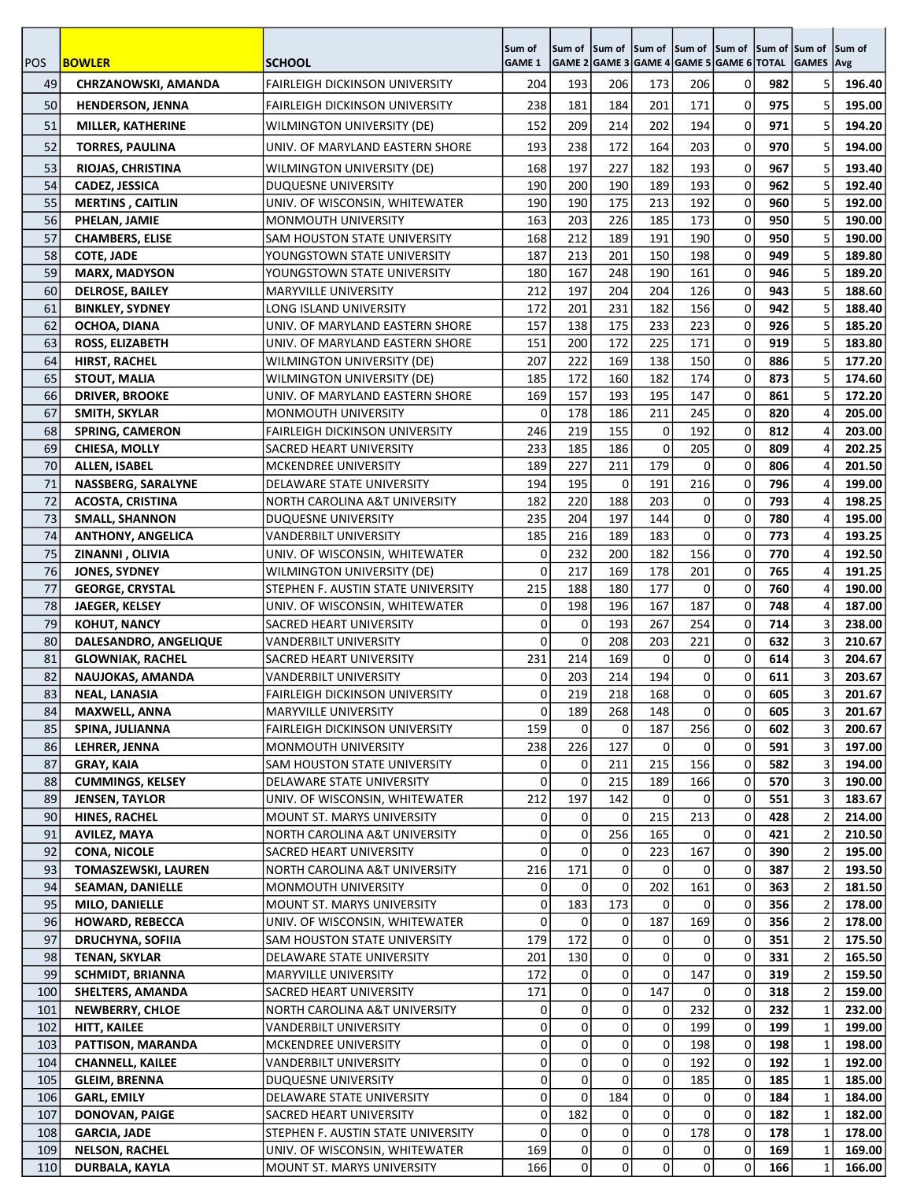|            |                                                |                                                                    | Sum of           | Sum of                                         | <b>Sum of Sum of</b> |                | Sum of Sum of            |              | Sum of Sum of |                     | Sum of           |
|------------|------------------------------------------------|--------------------------------------------------------------------|------------------|------------------------------------------------|----------------------|----------------|--------------------------|--------------|---------------|---------------------|------------------|
| <b>POS</b> | <b>BOWLER</b>                                  | <b>SCHOOL</b>                                                      | <b>GAME 1</b>    | GAME 2 GAME 3 GAME 4 GAME 5 GAME 6 TOTAL GAMES |                      |                |                          |              |               |                     | Avg              |
| 49         | <b>CHRZANOWSKI, AMANDA</b>                     | <b>FAIRLEIGH DICKINSON UNIVERSITY</b>                              | 204              | 193                                            | 206                  | 173            | 206                      | 0            | 982           | 5                   | 196.40           |
| 50         | <b>HENDERSON, JENNA</b>                        | <b>FAIRLEIGH DICKINSON UNIVERSITY</b>                              | 238              | 181                                            | 184                  | 201            | 171                      | 0            | 975           | 5                   | 195.00           |
| 51         | MILLER, KATHERINE                              | WILMINGTON UNIVERSITY (DE)                                         | 152              | 209                                            | 214                  | 202            | 194                      | 0            | 971           | 5                   | 194.20           |
| 52         | <b>TORRES, PAULINA</b>                         | UNIV. OF MARYLAND EASTERN SHORE                                    | 193              | 238                                            | 172                  | 164            | 203                      | 0            | 970           | 5                   | 194.00           |
| 53         | RIOJAS, CHRISTINA                              | WILMINGTON UNIVERSITY (DE)                                         | 168              | 197                                            | 227                  | 182            | 193                      | 0            | 967           | 5                   | 193.40           |
| 54         | <b>CADEZ, JESSICA</b>                          | <b>DUQUESNE UNIVERSITY</b>                                         | 190              | 200                                            | 190                  | 189            | 193                      | 0            | 962           | 5                   | 192.40           |
| 55         | <b>MERTINS, CAITLIN</b>                        | UNIV. OF WISCONSIN, WHITEWATER                                     | 190              | 190                                            | 175                  | 213            | 192                      | 0            | 960           | 5                   | 192.00           |
| 56         | PHELAN, JAMIE                                  | <b>MONMOUTH UNIVERSITY</b>                                         | 163              | 203                                            | 226                  | 185            | 173                      | 0            | 950           | 5                   | 190.00           |
| 57         | <b>CHAMBERS, ELISE</b>                         | SAM HOUSTON STATE UNIVERSITY                                       | 168              | 212                                            | 189                  | 191            | 190                      | 0            | 950           | 5                   | 190.00           |
| 58         | <b>COTE, JADE</b>                              | YOUNGSTOWN STATE UNIVERSITY                                        | 187              | 213                                            | 201                  | 150            | 198                      | 0            | 949           | 5                   | 189.80           |
| 59         | <b>MARX, MADYSON</b>                           | YOUNGSTOWN STATE UNIVERSITY                                        | 180              | 167                                            | 248                  | 190            | 161                      | 0            | 946           |                     | 189.20           |
| 60<br>61   | <b>DELROSE, BAILEY</b>                         | <b>MARYVILLE UNIVERSITY</b>                                        | 212<br>172       | 197                                            | 204<br>231           | 204<br>182     | 126<br>156               | 0<br>0       | 943<br>942    |                     | 188.60           |
| 62         | <b>BINKLEY, SYDNEY</b>                         | LONG ISLAND UNIVERSITY                                             | 157              | 201<br>138                                     | 175                  | 233            | 223                      | 0            | 926           | 5<br>5              | 188.40<br>185.20 |
| 63         | OCHOA, DIANA<br>ROSS, ELIZABETH                | UNIV. OF MARYLAND EASTERN SHORE<br>UNIV. OF MARYLAND EASTERN SHORE | 151              | 200                                            | 172                  | 225            | 171                      | $\mathbf 0$  | 919           | 5                   | 183.80           |
| 64         | <b>HIRST, RACHEL</b>                           | <b>WILMINGTON UNIVERSITY (DE)</b>                                  | 207              | 222                                            | 169                  | 138            | 150                      | 0            | 886           | 5                   | 177.20           |
| 65         | <b>STOUT, MALIA</b>                            | <b>WILMINGTON UNIVERSITY (DE)</b>                                  | 185              | 172                                            | 160                  | 182            | 174                      | 0            | 873           | 5                   | 174.60           |
| 66         | <b>DRIVER, BROOKE</b>                          | UNIV. OF MARYLAND EASTERN SHORE                                    | 169              | 157                                            | 193                  | 195            | 147                      | 0            | 861           | 5                   | 172.20           |
| 67         | SMITH, SKYLAR                                  | MONMOUTH UNIVERSITY                                                | 0                | 178                                            | 186                  | 211            | 245                      | 0            | 820           | 4                   | 205.00           |
| 68         | <b>SPRING, CAMERON</b>                         | <b>FAIRLEIGH DICKINSON UNIVERSITY</b>                              | 246              | 219                                            | 155                  | $\Omega$       | 192                      | 0            | 812           | 4                   | 203.00           |
| 69         | <b>CHIESA, MOLLY</b>                           | SACRED HEART UNIVERSITY                                            | 233              | 185                                            | 186                  | $\Omega$       | 205                      | 0            | 809           | 4                   | 202.25           |
| 70         | <b>ALLEN, ISABEL</b>                           | MCKENDREE UNIVERSITY                                               | 189              | 227                                            | 211                  | 179            | 0                        | 0            | 806           | 4                   | 201.50           |
| 71         | NASSBERG, SARALYNE                             | DELAWARE STATE UNIVERSITY                                          | 194              | 195                                            | $\mathbf 0$          | 191            | 216                      | 0            | 796           | 4                   | 199.00           |
| 72         | <b>ACOSTA, CRISTINA</b>                        | NORTH CAROLINA A&T UNIVERSITY                                      | 182              | 220                                            | 188                  | 203            | $\mathbf 0$              | 0            | 793           | 4                   | 198.25           |
| 73         | <b>SMALL, SHANNON</b>                          | <b>DUQUESNE UNIVERSITY</b>                                         | 235              | 204                                            | 197                  | 144            | 0                        | 0            | 780           | 4                   | 195.00           |
| 74         | <b>ANTHONY, ANGELICA</b>                       | VANDERBILT UNIVERSITY                                              | 185              | 216                                            | 189                  | 183            | 0                        | 0            | 773           | 4                   | 193.25           |
| 75<br>76   | ZINANNI, OLIVIA                                | UNIV. OF WISCONSIN, WHITEWATER                                     | 0<br>$\mathbf 0$ | 232<br>217                                     | 200<br>169           | 182<br>178     | 156<br>201               | 0<br>0       | 770<br>765    | 4                   | 192.50           |
| 77         | <b>JONES, SYDNEY</b><br><b>GEORGE, CRYSTAL</b> | WILMINGTON UNIVERSITY (DE)<br>STEPHEN F. AUSTIN STATE UNIVERSITY   | 215              | 188                                            | 180                  | 177            | 0                        | 0            | 760           | 4<br>4              | 191.25<br>190.00 |
| 78         | JAEGER, KELSEY                                 | UNIV. OF WISCONSIN, WHITEWATER                                     | 0                | 198                                            | 196                  | 167            | 187                      | 0            | 748           | 4                   | 187.00           |
| 79         | <b>KOHUT, NANCY</b>                            | SACRED HEART UNIVERSITY                                            | 0                | 0                                              | 193                  | 267            | 254                      | 0            | 714           | 3                   | 238.00           |
| 80         | DALESANDRO, ANGELIQUE                          | <b>VANDERBILT UNIVERSITY</b>                                       | $\Omega$         | 0                                              | 208                  | 203            | 221                      | 0            | 632           | 3                   | 210.67           |
| 81         | <b>GLOWNIAK, RACHEL</b>                        | SACRED HEART UNIVERSITY                                            | 231              | 214                                            | 169                  | 0              | 0                        | 0            | 614           | 3                   | 204.67           |
| 82         | NAUJOKAS, AMANDA                               | <b>VANDERBILT UNIVERSITY</b>                                       | 0                | 203                                            | 214                  | 194            | 0                        | 0            | 611           | 3                   | 203.67           |
| 83         | <b>NEAL, LANASIA</b>                           | FAIRLEIGH DICKINSON UNIVERSITY                                     | $\sigma$         | 219                                            | 218                  | 168            | $\mathsf{O}\hspace{1pt}$ | $\mathbf{0}$ | 605           | $\overline{3}$      | 201.67           |
| 84         | <b>MAXWELL, ANNA</b>                           | MARYVILLE UNIVERSITY                                               | 0                | 189                                            | 268                  | 148            | 0                        | 0            | 605           | 3                   | 201.67           |
| 85         | SPINA, JULIANNA                                | <b>FAIRLEIGH DICKINSON UNIVERSITY</b>                              | 159              | 0                                              | 0                    | 187            | 256                      | 0            | 602           | 3                   | 200.67           |
| 86         | LEHRER, JENNA                                  | MONMOUTH UNIVERSITY                                                | 238              | 226                                            | 127                  | 0              | 0                        | 0            | 591           | 3                   | 197.00           |
| 87         | <b>GRAY, KAIA</b>                              | SAM HOUSTON STATE UNIVERSITY                                       | 0                | 0                                              | 211                  | 215            | 156                      | 0            | 582           | 3                   | 194.00           |
| 88         | <b>CUMMINGS, KELSEY</b>                        | DELAWARE STATE UNIVERSITY                                          | 0                | 0                                              | 215                  | 189            | 166                      | 0            | 570           | 3                   | 190.00           |
| 89<br>90   | <b>JENSEN, TAYLOR</b>                          | UNIV. OF WISCONSIN, WHITEWATER                                     | 212              | 197<br>0                                       | 142                  | 0              | 0                        | 0<br>0       | 551           | 3                   | 183.67           |
| 91         | <b>HINES, RACHEL</b><br>AVILEZ, MAYA           | MOUNT ST. MARYS UNIVERSITY<br>NORTH CAROLINA A&T UNIVERSITY        | $\Omega$<br>0    | 0                                              | 0<br>256             | 215<br>165     | 213<br>0                 | 0            | 428<br>421    | 2<br>$\overline{2}$ | 214.00<br>210.50 |
| 92         | <b>CONA, NICOLE</b>                            | SACRED HEART UNIVERSITY                                            | 0                | 0                                              | 0                    | 223            | 167                      | 0            | 390           | 2                   | 195.00           |
| 93         | <b>TOMASZEWSKI, LAUREN</b>                     | NORTH CAROLINA A&T UNIVERSITY                                      | 216              | 171                                            | 0                    | 0              | 0                        | 0            | 387           | 2                   | 193.50           |
| 94         | <b>SEAMAN, DANIELLE</b>                        | MONMOUTH UNIVERSITY                                                | 0                | 0                                              | 0                    | 202            | 161                      | 0            | 363           | 2                   | 181.50           |
| 95         | MILO, DANIELLE                                 | <b>MOUNT ST. MARYS UNIVERSITY</b>                                  | 0                | 183                                            | 173                  | 0              | 0                        | 0            | 356           | 2                   | 178.00           |
| 96         | <b>HOWARD, REBECCA</b>                         | UNIV. OF WISCONSIN, WHITEWATER                                     | 0                | 0                                              | 0                    | 187            | 169                      | 0            | 356           | 2                   | 178.00           |
| 97         | <b>DRUCHYNA, SOFIIA</b>                        | SAM HOUSTON STATE UNIVERSITY                                       | 179              | 172                                            | 0                    | 0              | 0                        | 0            | 351           | $\overline{2}$      | 175.50           |
| 98         | <b>TENAN, SKYLAR</b>                           | DELAWARE STATE UNIVERSITY                                          | 201              | 130                                            | 0                    | 0              | 0                        | 0            | 331           | 2                   | 165.50           |
| 99         | <b>SCHMIDT, BRIANNA</b>                        | MARYVILLE UNIVERSITY                                               | 172              | $\overline{0}$                                 | $\mathbf 0$          | 0              | 147                      | 0            | 319           | 2                   | 159.50           |
| 100        | <b>SHELTERS, AMANDA</b>                        | SACRED HEART UNIVERSITY                                            | 171              | $\overline{0}$                                 | 0                    | 147            | 0                        | 0            | 318           | 2                   | 159.00           |
| 101        | NEWBERRY, CHLOE                                | NORTH CAROLINA A&T UNIVERSITY                                      | $\Omega$<br>0    | 0<br>0                                         | 0<br> 0              | 0 <br>$\Omega$ | 232<br>199               | 0<br>0       | 232<br>199    | 1                   | 232.00           |
| 102<br>103 | <b>HITT, KAILEE</b><br>PATTISON, MARANDA       | VANDERBILT UNIVERSITY<br>MCKENDREE UNIVERSITY                      | $\overline{0}$   | 0                                              | $\overline{0}$       | 0              | 198                      | 0            | 198           | 1<br>1              | 199.00<br>198.00 |
| 104        | <b>CHANNELL, KAILEE</b>                        | VANDERBILT UNIVERSITY                                              | $\overline{0}$   | 0                                              | 0                    | 0              | 192                      | 0            | 192           | 1                   | 192.00           |
| 105        | <b>GLEIM, BRENNA</b>                           | DUQUESNE UNIVERSITY                                                | $\Omega$         | $\Omega$                                       | $\Omega$             | 0              | 185                      | 0            | 185           | 1                   | 185.00           |
| 106        | <b>GARL, EMILY</b>                             | DELAWARE STATE UNIVERSITY                                          | 0                | 0                                              | 184                  | 0              | 0                        | 0            | 184           | 1                   | 184.00           |
| 107        | <b>DONOVAN, PAIGE</b>                          | SACRED HEART UNIVERSITY                                            | 0                | 182                                            | 0                    | 0              | 0                        | 0            | 182           | 1                   | 182.00           |
| 108        | <b>GARCIA, JADE</b>                            | STEPHEN F. AUSTIN STATE UNIVERSITY                                 | 0                | 0                                              | 0                    | 0              | 178                      | 0            | 178           | 1                   | 178.00           |
| 109        | <b>NELSON, RACHEL</b>                          | UNIV. OF WISCONSIN, WHITEWATER                                     | 169              | 0                                              | 0                    | 0              | 0                        | 0            | 169           | 1                   | 169.00           |
| 110        | DURBALA, KAYLA                                 | MOUNT ST. MARYS UNIVERSITY                                         | 166              | οI                                             | $\Omega$             | 0              | $\Omega$                 | 0            | 166           | 1                   | 166.00           |